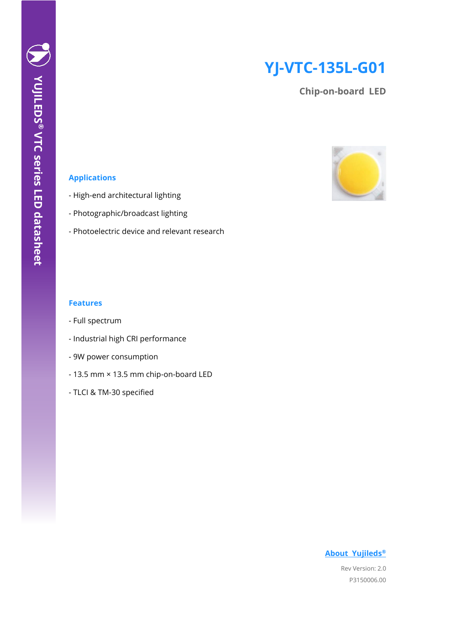# **YJ-VTC-135L-G01**

**Chip-on-board LED**



## **Applications**

- High-end architectural lighting
- Photographic/broadcast lighting
- Photoelectric device and relevant research

#### **Features**

- Full spectrum
- Industrial high CRI performance
- 9W power consumption
- 13.5 mm × 13.5 mm chip-on-board LED
- TLCI & TM-30 specified

## **[About Yujileds](#page-15-0)®**

Rev Version: 2.0 P3150006.00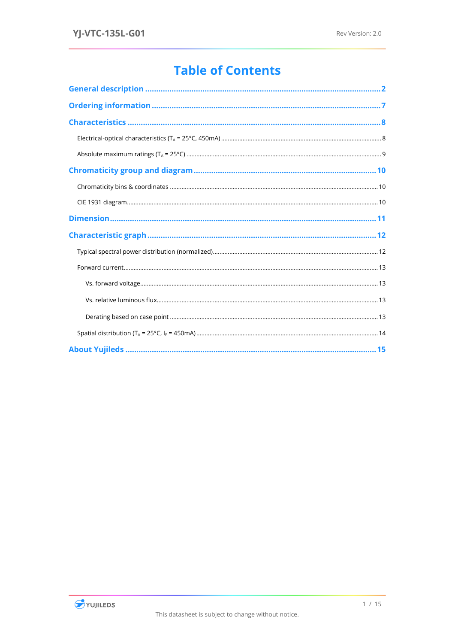# **Table of Contents**

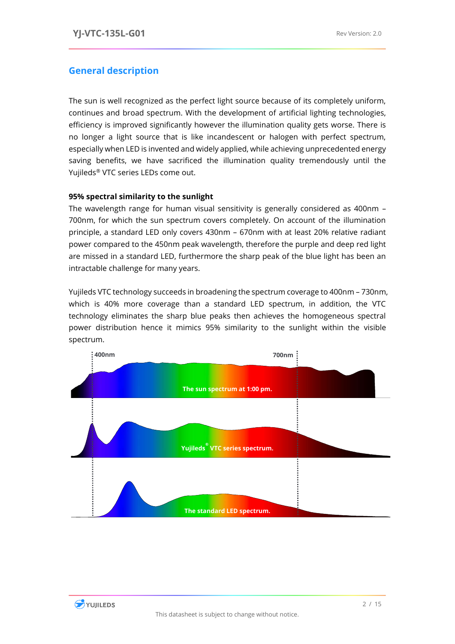## <span id="page-2-0"></span>**General description**

The sun is well recognized as the perfect light source because of its completely uniform, continues and broad spectrum. With the development of artificial lighting technologies, efficiency is improved significantly however the illumination quality gets worse. There is no longer a light source that is like incandescent or halogen with perfect spectrum, especially when LED is invented and widely applied, while achieving unprecedented energy saving benefits, we have sacrificed the illumination quality tremendously until the Yujileds® VTC series LEDs come out.

## **95% spectral similarity to the sunlight**

The wavelength range for human visual sensitivity is generally considered as 400nm – 700nm, for which the sun spectrum covers completely. On account of the illumination principle, a standard LED only covers 430nm – 670nm with at least 20% relative radiant power compared to the 450nm peak wavelength, therefore the purple and deep red light are missed in a standard LED, furthermore the sharp peak of the blue light has been an intractable challenge for many years.

Yujileds VTC technology succeeds in broadening the spectrum coverage to 400nm – 730nm, which is 40% more coverage than a standard LED spectrum, in addition, the VTC technology eliminates the sharp blue peaks then achieves the homogeneous spectral power distribution hence it mimics 95% similarity to the sunlight within the visible spectrum.



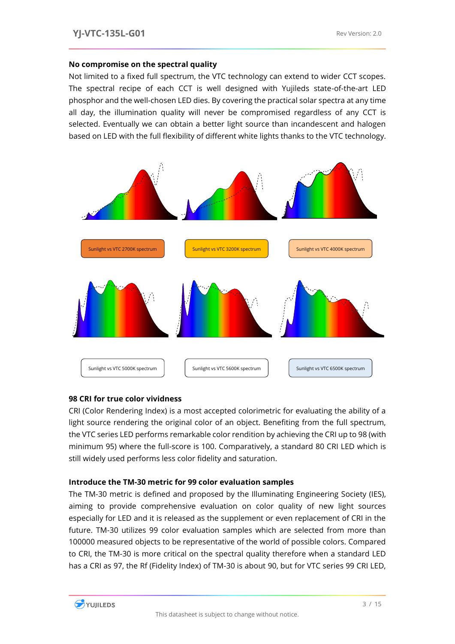#### **No compromise on the spectral quality**

Not limited to a fixed full spectrum, the VTC technology can extend to wider CCT scopes. The spectral recipe of each CCT is well designed with Yujileds state-of-the-art LED phosphor and the well-chosen LED dies. By covering the practical solar spectra at any time all day, the illumination quality will never be compromised regardless of any CCT is selected. Eventually we can obtain a better light source than incandescent and halogen based on LED with the full flexibility of different white lights thanks to the VTC technology.



### **98 CRI for true color vividness**

CRI (Color Rendering Index) is a most accepted colorimetric for evaluating the ability of a light source rendering the original color of an object. Benefiting from the full spectrum, the VTC series LED performs remarkable color rendition by achieving the CRI up to 98 (with minimum 95) where the full-score is 100. Comparatively, a standard 80 CRI LED which is still widely used performs less color fidelity and saturation.

### **Introduce the TM-30 metric for 99 color evaluation samples**

The TM-30 metric is defined and proposed by the Illuminating Engineering Society (IES), aiming to provide comprehensive evaluation on color quality of new light sources especially for LED and it is released as the supplement or even replacement of CRI in the future. TM-30 utilizes 99 color evaluation samples which are selected from more than 100000 measured objects to be representative of the world of possible colors. Compared to CRI, the TM-30 is more critical on the spectral quality therefore when a standard LED has a CRI as 97, the Rf (Fidelity Index) of TM-30 is about 90, but for VTC series 99 CRI LED,

![](_page_3_Picture_9.jpeg)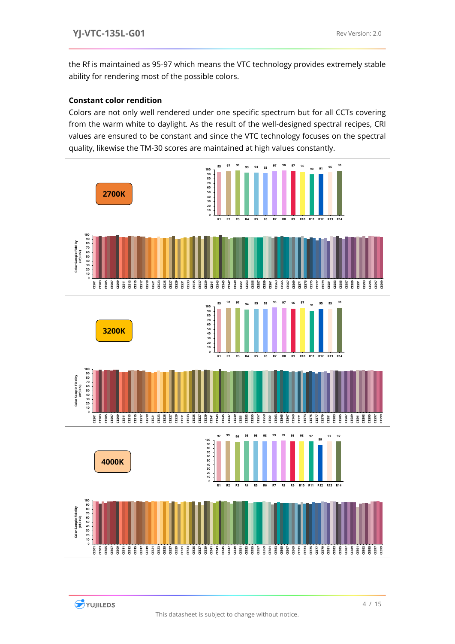the Rf is maintained as 95-97 which means the VTC technology provides extremely stable ability for rendering most of the possible colors.

## **Constant color rendition**

Colors are not only well rendered under one specific spectrum but for all CCTs covering from the warm white to daylight. As the result of the well-designed spectral recipes, CRI values are ensured to be constant and since the VTC technology focuses on the spectral quality, likewise the TM-30 scores are maintained at high values constantly.

![](_page_4_Figure_5.jpeg)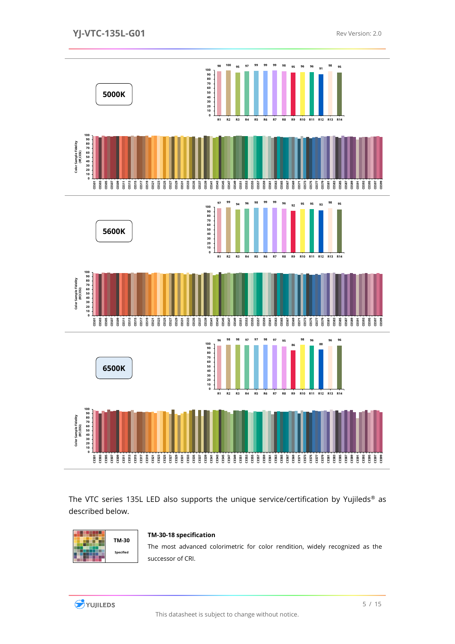![](_page_5_Figure_2.jpeg)

The VTC series 135L LED also supports the unique service/certification by Yujileds<sup>®</sup> as described below.

![](_page_5_Figure_4.jpeg)

#### **TM-30-18 specification**

The most advanced colorimetric for color rendition, widely recognized as the successor of CRI.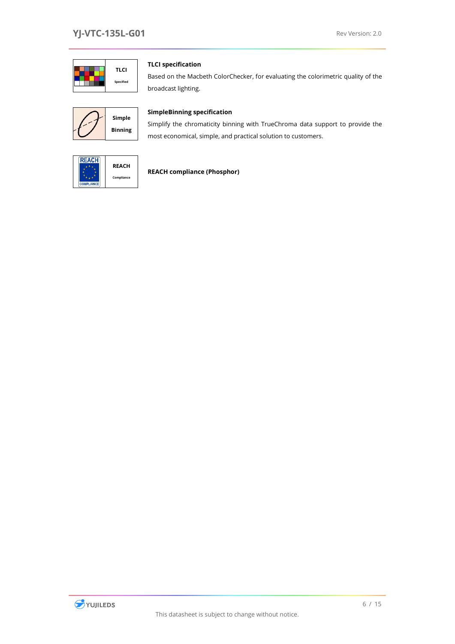![](_page_6_Picture_2.jpeg)

#### **TLCI specification**

Based on the Macbeth ColorChecker, for evaluating the colorimetric quality of the broadcast lighting.

![](_page_6_Figure_5.jpeg)

#### **SimpleBinning specification**

Simplify the chromaticity binning with TrueChroma data support to provide the most economical, simple, and practical solution to customers.

![](_page_6_Picture_8.jpeg)

## **REACH compliance (Phosphor)**

![](_page_6_Picture_10.jpeg)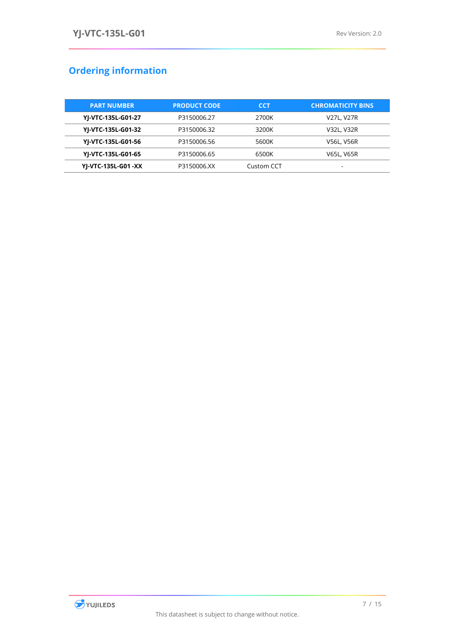# <span id="page-7-0"></span>**Ordering information**

| <b>PART NUMBER</b> | <b>PRODUCT CODE</b> | <b>CCT</b> | <b>CHROMATICITY BINS</b> |  |  |
|--------------------|---------------------|------------|--------------------------|--|--|
| YJ-VTC-135L-G01-27 | P3150006.27         | 2700K      | V27L, V27R               |  |  |
| YJ-VTC-135L-G01-32 | P3150006.32         | 3200K      | V32L, V32R               |  |  |
| YJ-VTC-135L-G01-56 | P3150006.56         | 5600K      | <b>V56L, V56R</b>        |  |  |
| YJ-VTC-135L-G01-65 | P3150006.65         | 6500K      | <b>V65L, V65R</b>        |  |  |
| YJ-VTC-135L-G01-XX | P3150006.XX         | Custom CCT |                          |  |  |

![](_page_7_Picture_4.jpeg)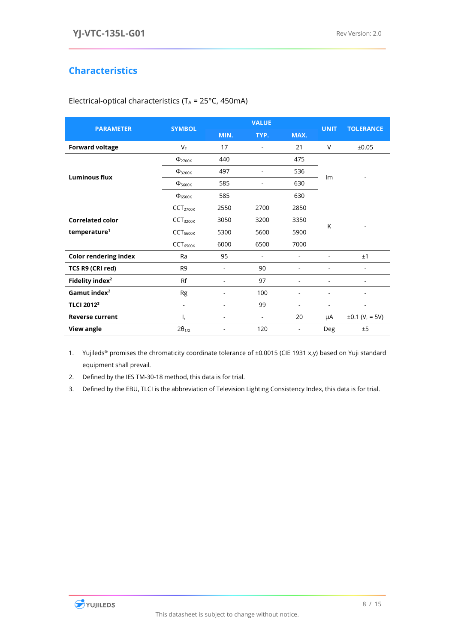## <span id="page-8-0"></span>**Characteristics**

| <b>PARAMETER</b>             | <b>SYMBOL</b>            |                          | <b>VALUE</b> | <b>UNIT</b> | <b>TOLERANCE</b> |                                 |  |
|------------------------------|--------------------------|--------------------------|--------------|-------------|------------------|---------------------------------|--|
|                              |                          | MIN.                     | TYP.         | MAX.        |                  |                                 |  |
| <b>Forward voltage</b>       | $V_F$                    | 17                       | ä,           | 21          | $\vee$           | ±0.05                           |  |
|                              | $\Phi$ <sub>2700K</sub>  | 440                      |              | 475         |                  |                                 |  |
| <b>Luminous flux</b>         | $\Phi_{3200K}$           | 497                      | Ĭ.           | 536         | Im               |                                 |  |
|                              | $\Phi_{\rm 5600K}$       | 585                      |              | 630         |                  |                                 |  |
|                              | $\Phi_{6500K}$           | 585                      |              | 630         |                  |                                 |  |
|                              | CCT <sub>2700K</sub>     | 2550                     | 2700         | 2850        |                  |                                 |  |
| <b>Correlated color</b>      | CCT <sub>3200K</sub>     | 3050                     | 3200         | 3350        |                  |                                 |  |
| temperature <sup>1</sup>     | CCT <sub>5600K</sub>     | 5300                     | 5600         | 5900        | K                |                                 |  |
|                              | $CCT_{6500K}$            | 6000                     | 6500         | 7000        |                  |                                 |  |
| <b>Color rendering index</b> | Ra                       | 95                       | ä,           |             |                  | ±1                              |  |
| TCS R9 (CRI red)             | R <sub>9</sub>           |                          | 90           | ٠           |                  | -                               |  |
| Fidelity index <sup>2</sup>  | Rf                       | ۰                        | 97           |             |                  | -                               |  |
| Gamut index <sup>2</sup>     | Rg                       | $\overline{\phantom{a}}$ | 100          | L,          | ٠                | $\overline{\phantom{0}}$        |  |
| TLCI 2012 <sup>3</sup>       | $\overline{\phantom{a}}$ |                          | 99           |             | ٠                | ٠                               |  |
| <b>Reverse current</b>       | I,                       |                          | ä,           | 20          | μA               | $\pm 0.1$ (V <sub>r</sub> = 5V) |  |
| View angle                   | $2\theta_{1/2}$          |                          | 120          |             | Deg              | ±5                              |  |

<span id="page-8-1"></span>Electrical-optical characteristics ( $T_A$  = 25 $\degree$ C, 450mA)

1. Yujileds® promises the chromaticity coordinate tolerance of ±0.0015 (CIE 1931 x,y) based on Yuji standard equipment shall prevail.

2. Defined by the IES TM-30-18 method, this data is for trial.

3. Defined by the EBU, TLCI is the abbreviation of Television Lighting Consistency Index, this data is for trial.

![](_page_8_Picture_8.jpeg)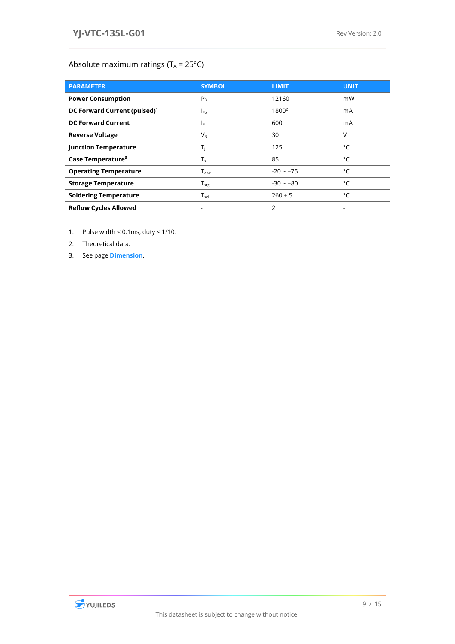## <span id="page-9-0"></span>Absolute maximum ratings ( $T_A = 25^{\circ}C$ )

| <b>PARAMETER</b>                         | <b>SYMBOL</b>                | <b>LIMIT</b>      | <b>UNIT</b> |
|------------------------------------------|------------------------------|-------------------|-------------|
| <b>Power Consumption</b>                 | $P_D$                        | 12160             | mW          |
| DC Forward Current (pulsed) <sup>1</sup> | $I_{\text{Fp}}$              | 1800 <sup>2</sup> | mA          |
| <b>DC Forward Current</b>                | IF.                          | 600               | mA          |
| <b>Reverse Voltage</b>                   | $V_{R}$                      | 30                | V           |
| <b>Junction Temperature</b>              | T,                           | 125               | °C          |
| Case Temperature <sup>3</sup>            | $T_{s}$                      | 85                | °C          |
| <b>Operating Temperature</b>             | $T_{\mathsf{opr}}$           | $-20 - +75$       | $^{\circ}C$ |
| <b>Storage Temperature</b>               | ${\mathsf T}_{\textsf{stg}}$ | $-30 - +80$       | °C          |
| <b>Soldering Temperature</b>             | $\mathsf{T}_{\mathsf{sol}}$  | $260 \pm 5$       | °C          |
| <b>Reflow Cycles Allowed</b>             | ۰                            | 2                 | ٠           |

- 1. Pulse width  $\leq 0.1$ ms, duty  $\leq 1/10$ .
- 2. Theoretical data.
- 3. See page **[Dimension](#page-11-0)**.

![](_page_9_Picture_7.jpeg)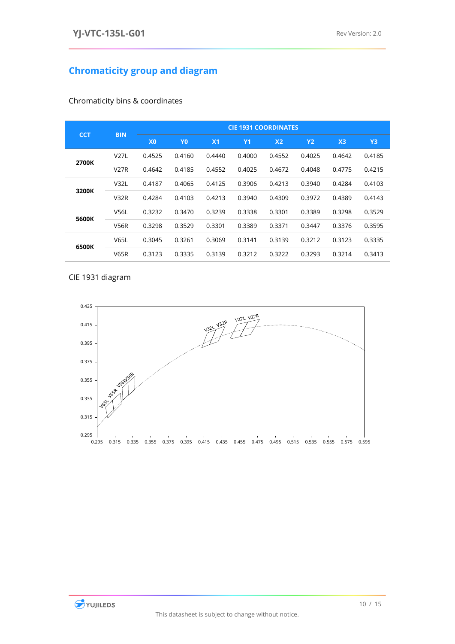# <span id="page-10-0"></span>**Chromaticity group and diagram**

| <b>CCT</b> | <b>BIN</b>  | <b>CIE 1931 COORDINATES</b> |                |                |           |                |           |                |                |
|------------|-------------|-----------------------------|----------------|----------------|-----------|----------------|-----------|----------------|----------------|
|            |             | X <sub>0</sub>              | Y <sub>0</sub> | X <sub>1</sub> | <b>Y1</b> | X <sub>2</sub> | <b>Y2</b> | X <sub>3</sub> | Y <sub>3</sub> |
| 2700K      | <b>V27L</b> | 0.4525                      | 0.4160         | 0.4440         | 0.4000    | 0.4552         | 0.4025    | 0.4642         | 0.4185         |
|            | <b>V27R</b> | 0.4642                      | 0.4185         | 0.4552         | 0.4025    | 0.4672         | 0.4048    | 0.4775         | 0.4215         |
| 3200K      | V32L        | 0.4187                      | 0.4065         | 0.4125         | 0.3906    | 0.4213         | 0.3940    | 0.4284         | 0.4103         |
|            | <b>V32R</b> | 0.4284                      | 0.4103         | 0.4213         | 0.3940    | 0.4309         | 0.3972    | 0.4389         | 0.4143         |
| 5600K      | <b>V56L</b> | 0.3232                      | 0.3470         | 0.3239         | 0.3338    | 0.3301         | 0.3389    | 0.3298         | 0.3529         |
|            | <b>V56R</b> | 0.3298                      | 0.3529         | 0.3301         | 0.3389    | 0.3371         | 0.3447    | 0.3376         | 0.3595         |
| 6500K      | <b>V65L</b> | 0.3045                      | 0.3261         | 0.3069         | 0.3141    | 0.3139         | 0.3212    | 0.3123         | 0.3335         |
|            | <b>V65R</b> | 0.3123                      | 0.3335         | 0.3139         | 0.3212    | 0.3222         | 0.3293    | 0.3214         | 0.3413         |

<span id="page-10-1"></span>Chromaticity bins & coordinates

<span id="page-10-2"></span>CIE 1931 diagram

![](_page_10_Figure_6.jpeg)

![](_page_10_Picture_7.jpeg)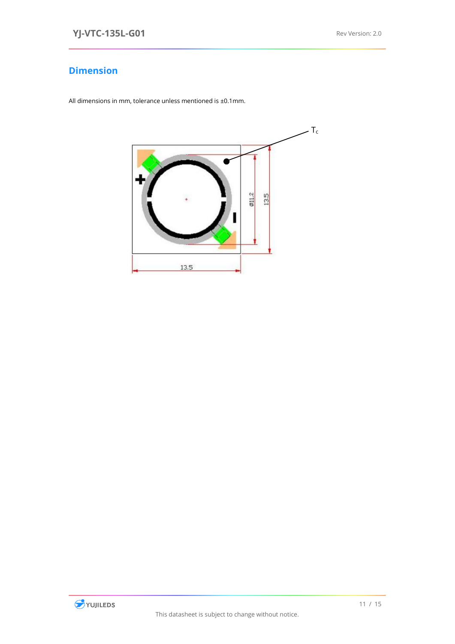## <span id="page-11-0"></span>**Dimension**

All dimensions in mm, tolerance unless mentioned is ±0.1mm.

![](_page_11_Picture_4.jpeg)

![](_page_11_Picture_5.jpeg)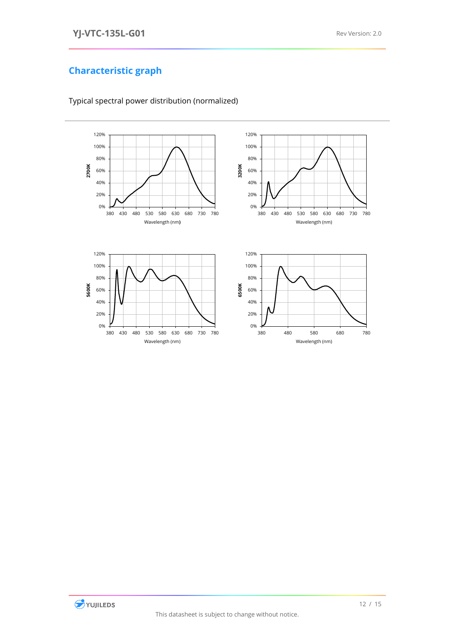# <span id="page-12-0"></span>**Characteristic graph**

![](_page_12_Figure_3.jpeg)

<span id="page-12-1"></span>Typical spectral power distribution (normalized)

![](_page_12_Picture_5.jpeg)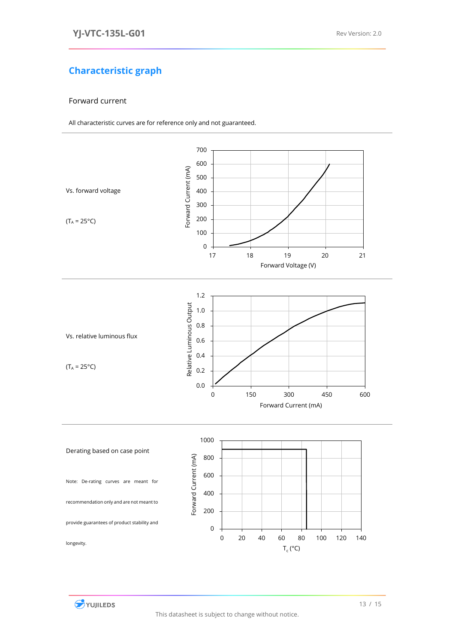# **Characteristic graph**

#### <span id="page-13-0"></span>Forward current

All characteristic curves are for reference only and not guaranteed.

<span id="page-13-3"></span><span id="page-13-2"></span><span id="page-13-1"></span>![](_page_13_Figure_5.jpeg)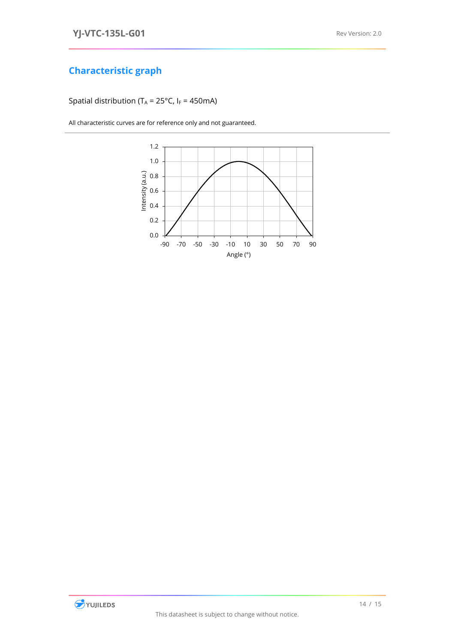## **Characteristic graph**

<span id="page-14-0"></span>Spatial distribution (T<sub>A</sub> = 25°C, I<sub>F</sub> = 450mA)

All characteristic curves are for reference only and not guaranteed.

![](_page_14_Figure_5.jpeg)

![](_page_14_Picture_6.jpeg)